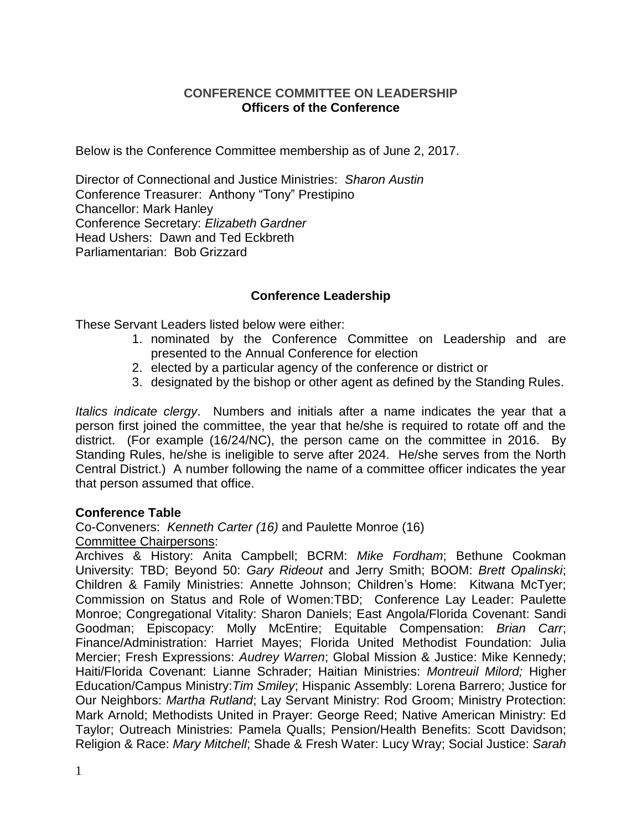#### **CONFERENCE COMMITTEE ON LEADERSHIP Officers of the Conference**

Below is the Conference Committee membership as of June 2, 2017.

Director of Connectional and Justice Ministries: *Sharon Austin* Conference Treasurer: Anthony "Tony" Prestipino Chancellor: Mark Hanley Conference Secretary: *Elizabeth Gardner* Head Ushers: Dawn and Ted Eckbreth Parliamentarian: Bob Grizzard

# **Conference Leadership**

These Servant Leaders listed below were either:

- 1. nominated by the Conference Committee on Leadership and are presented to the Annual Conference for election
- 2. elected by a particular agency of the conference or district or
- 3. designated by the bishop or other agent as defined by the Standing Rules.

*Italics indicate clergy*. Numbers and initials after a name indicates the year that a person first joined the committee, the year that he/she is required to rotate off and the district. (For example (16/24/NC), the person came on the committee in 2016. By Standing Rules, he/she is ineligible to serve after 2024. He/she serves from the North Central District.) A number following the name of a committee officer indicates the year that person assumed that office.

#### **Conference Table**

Co-Conveners: *Kenneth Carter (16)* and Paulette Monroe (16) Committee Chairpersons:

Archives & History: Anita Campbell; BCRM: *Mike Fordham*; Bethune Cookman University: TBD; Beyond 50: *Gary Rideout* and Jerry Smith; BOOM: *Brett Opalinski*; Children & Family Ministries: Annette Johnson; Children's Home: Kitwana McTyer; Commission on Status and Role of Women:TBD; Conference Lay Leader: Paulette Monroe; Congregational Vitality: Sharon Daniels; East Angola/Florida Covenant: Sandi Goodman; Episcopacy: Molly McEntire; Equitable Compensation: *Brian Carr*; Finance/Administration: Harriet Mayes; Florida United Methodist Foundation: Julia Mercier; Fresh Expressions: *Audrey Warren*; Global Mission & Justice: Mike Kennedy; Haiti/Florida Covenant: Lianne Schrader; Haitian Ministries: *Montreuil Milord;* Higher Education/Campus Ministry:*Tim Smiley*; Hispanic Assembly: Lorena Barrero; Justice for Our Neighbors: *Martha Rutland*; Lay Servant Ministry: Rod Groom; Ministry Protection: Mark Arnold; Methodists United in Prayer: George Reed; Native American Ministry: Ed Taylor; Outreach Ministries: Pamela Qualls; Pension/Health Benefits: Scott Davidson; Religion & Race: *Mary Mitchell*; Shade & Fresh Water: Lucy Wray; Social Justice: *Sarah*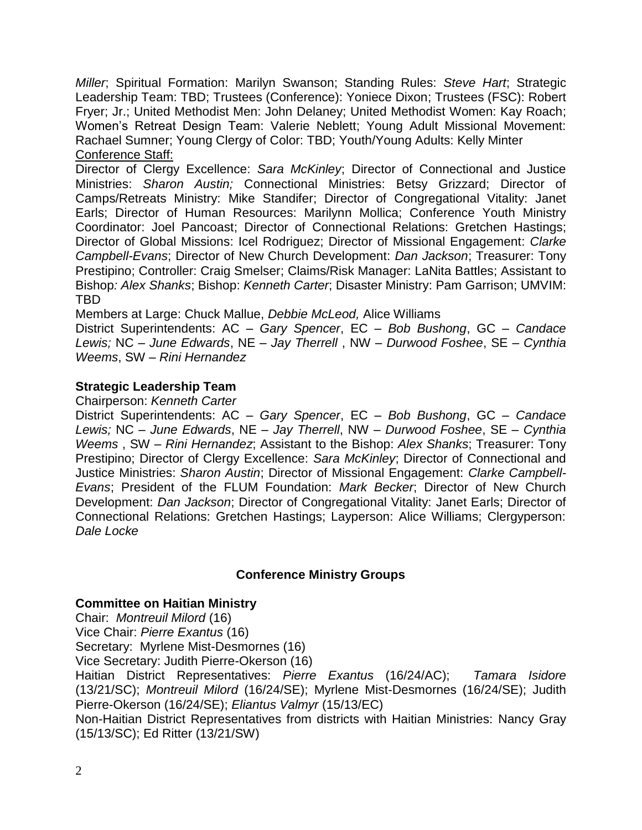*Miller*; Spiritual Formation: Marilyn Swanson; Standing Rules: *Steve Hart*; Strategic Leadership Team: TBD; Trustees (Conference): Yoniece Dixon; Trustees (FSC): Robert Fryer; Jr.; United Methodist Men: John Delaney; United Methodist Women: Kay Roach; Women's Retreat Design Team: Valerie Neblett; Young Adult Missional Movement: Rachael Sumner; Young Clergy of Color: TBD; Youth/Young Adults: Kelly Minter Conference Staff:

Director of Clergy Excellence: *Sara McKinley*; Director of Connectional and Justice Ministries: *Sharon Austin;* Connectional Ministries: Betsy Grizzard; Director of Camps/Retreats Ministry: Mike Standifer; Director of Congregational Vitality: Janet Earls; Director of Human Resources: Marilynn Mollica; Conference Youth Ministry Coordinator: Joel Pancoast; Director of Connectional Relations: Gretchen Hastings; Director of Global Missions: Icel Rodriguez; Director of Missional Engagement: *Clarke Campbell-Evans*; Director of New Church Development: *Dan Jackson*; Treasurer: Tony Prestipino; Controller: Craig Smelser; Claims/Risk Manager: LaNita Battles; Assistant to Bishop*: Alex Shanks*; Bishop: *Kenneth Carter*; Disaster Ministry: Pam Garrison; UMVIM: TBD

Members at Large: Chuck Mallue, *Debbie McLeod,* Alice Williams

District Superintendents: AC – *Gary Spencer*, EC – *Bob Bushong*, GC – *Candace Lewis;* NC – *June Edwards*, NE – *Jay Therrell* , NW – *Durwood Foshee*, SE – *Cynthia Weems*, SW – *Rini Hernandez*

## **Strategic Leadership Team**

Chairperson: *Kenneth Carter*

District Superintendents: AC – *Gary Spencer*, EC – *Bob Bushong*, GC – *Candace Lewis;* NC – *June Edwards*, NE – *Jay Therrell*, NW – *Durwood Foshee*, SE – *Cynthia Weems* , SW – *Rini Hernandez*; Assistant to the Bishop: *Alex Shanks*; Treasurer: Tony Prestipino; Director of Clergy Excellence: *Sara McKinley*; Director of Connectional and Justice Ministries: *Sharon Austin*; Director of Missional Engagement: *Clarke Campbell-Evans*; President of the FLUM Foundation: *Mark Becker*; Director of New Church Development: *Dan Jackson*; Director of Congregational Vitality: Janet Earls; Director of Connectional Relations: Gretchen Hastings; Layperson: Alice Williams; Clergyperson: *Dale Locke*

## **Conference Ministry Groups**

#### **Committee on Haitian Ministry**

Chair: *Montreuil Milord* (16)

Vice Chair: *Pierre Exantus* (16)

Secretary: Myrlene Mist-Desmornes (16)

Vice Secretary: Judith Pierre-Okerson (16)

Haitian District Representatives: *Pierre Exantus* (16/24/AC); *Tamara Isidore*  (13/21/SC); *Montreuil Milord* (16/24/SE); Myrlene Mist-Desmornes (16/24/SE); Judith Pierre-Okerson (16/24/SE); *Eliantus Valmyr* (15/13/EC)

Non-Haitian District Representatives from districts with Haitian Ministries: Nancy Gray (15/13/SC); Ed Ritter (13/21/SW)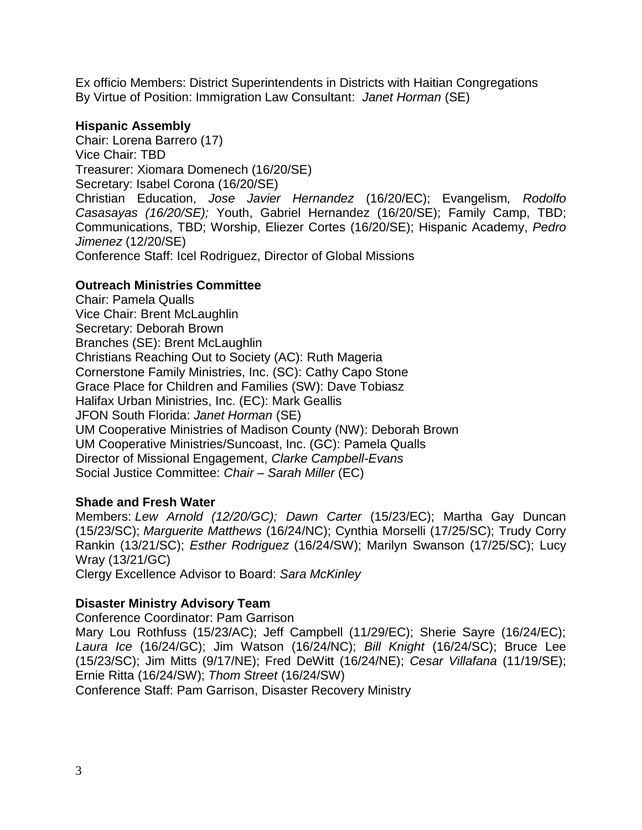Ex officio Members: District Superintendents in Districts with Haitian Congregations By Virtue of Position: Immigration Law Consultant: *Janet Horman* (SE)

#### **Hispanic Assembly**

Chair: Lorena Barrero (17) Vice Chair: TBD Treasurer: Xiomara Domenech (16/20/SE) Secretary: Isabel Corona (16/20/SE) Christian Education, *Jose Javier Hernandez* (16/20/EC); Evangelism*, Rodolfo Casasayas (16/20/SE);* Youth, Gabriel Hernandez (16/20/SE); Family Camp, TBD; Communications, TBD; Worship, Eliezer Cortes (16/20/SE); Hispanic Academy, *Pedro Jimenez* (12/20/SE) Conference Staff: Icel Rodriguez, Director of Global Missions

## **Outreach Ministries Committee**

Chair: Pamela Qualls Vice Chair: Brent McLaughlin Secretary: Deborah Brown Branches (SE): Brent McLaughlin Christians Reaching Out to Society (AC): Ruth Mageria Cornerstone Family Ministries, Inc. (SC): Cathy Capo Stone Grace Place for Children and Families (SW): Dave Tobiasz Halifax Urban Ministries, Inc. (EC): Mark Geallis JFON South Florida: *Janet Horman* (SE) UM Cooperative Ministries of Madison County (NW): Deborah Brown UM Cooperative Ministries/Suncoast, Inc. (GC): Pamela Qualls Director of Missional Engagement, *Clarke Campbell-Evans* Social Justice Committee: *Chair – Sarah Miller* (EC)

## **Shade and Fresh Water**

Members: *Lew Arnold (12/20/GC); Dawn Carter* (15/23/EC); Martha Gay Duncan (15/23/SC); *Marguerite Matthews* (16/24/NC); Cynthia Morselli (17/25/SC); Trudy Corry Rankin (13/21/SC); *Esther Rodriguez* (16/24/SW); Marilyn Swanson (17/25/SC); Lucy Wray (13/21/GC)

Clergy Excellence Advisor to Board: *Sara McKinley*

## **Disaster Ministry Advisory Team**

Conference Coordinator: Pam Garrison

Mary Lou Rothfuss (15/23/AC); Jeff Campbell (11/29/EC); Sherie Sayre (16/24/EC); *Laura Ice* (16/24/GC); Jim Watson (16/24/NC); *Bill Knight* (16/24/SC); Bruce Lee (15/23/SC); Jim Mitts (9/17/NE); Fred DeWitt (16/24/NE); *Cesar Villafana* (11/19/SE); Ernie Ritta (16/24/SW); *Thom Street* (16/24/SW)

Conference Staff: Pam Garrison, Disaster Recovery Ministry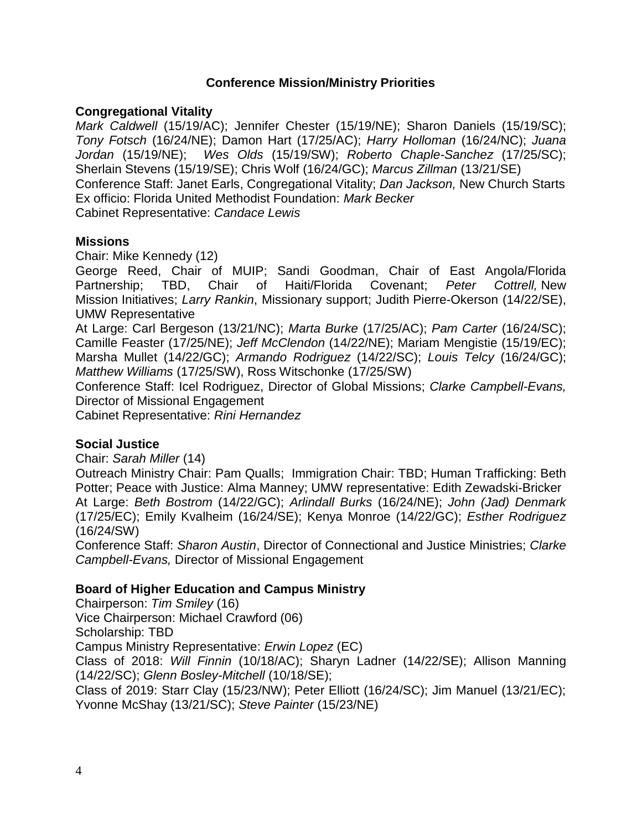#### **Conference Mission/Ministry Priorities**

## **Congregational Vitality**

*Mark Caldwell* (15/19/AC); Jennifer Chester (15/19/NE); Sharon Daniels (15/19/SC); *Tony Fotsch* (16/24/NE); Damon Hart (17/25/AC); *Harry Holloman* (16/24/NC); *Juana Jordan* (15/19/NE); *Wes Olds* (15/19/SW); *Roberto Chaple-Sanchez* (17/25/SC); Sherlain Stevens (15/19/SE); Chris Wolf (16/24/GC); *Marcus Zillman* (13/21/SE) Conference Staff: Janet Earls, Congregational Vitality; *Dan Jackson,* New Church Starts Ex officio: Florida United Methodist Foundation: *Mark Becker* Cabinet Representative: *Candace Lewis*

#### **Missions**

Chair: Mike Kennedy (12)

George Reed, Chair of MUIP; Sandi Goodman, Chair of East Angola/Florida Partnership; TBD, Chair of Haiti/Florida Covenant; *Peter Cottrell,* New Mission Initiatives; *Larry Rankin*, Missionary support; Judith Pierre-Okerson (14/22/SE), UMW Representative

At Large: Carl Bergeson (13/21/NC); *Marta Burke* (17/25/AC); *Pam Carter* (16/24/SC); Camille Feaster (17/25/NE); *Jeff McClendon* (14/22/NE); Mariam Mengistie (15/19/EC); Marsha Mullet (14/22/GC); *Armando Rodriguez* (14/22/SC); *Louis Telcy* (16/24/GC); *Matthew Williams* (17/25/SW), Ross Witschonke (17/25/SW)

Conference Staff: Icel Rodriguez, Director of Global Missions; *Clarke Campbell-Evans,* Director of Missional Engagement

Cabinet Representative: *Rini Hernandez*

#### **Social Justice**

Chair: *Sarah Miller* (14)

Outreach Ministry Chair: Pam Qualls; Immigration Chair: TBD; Human Trafficking: Beth Potter; Peace with Justice: Alma Manney; UMW representative: Edith Zewadski-Bricker At Large: *Beth Bostrom* (14/22/GC); *Arlindall Burks* (16/24/NE); *John (Jad) Denmark* (17/25/EC); Emily Kvalheim (16/24/SE); Kenya Monroe (14/22/GC); *Esther Rodriguez* (16/24/SW)

Conference Staff: *Sharon Austin*, Director of Connectional and Justice Ministries; *Clarke Campbell-Evans,* Director of Missional Engagement

#### **Board of Higher Education and Campus Ministry**

Chairperson: *Tim Smiley* (16)

Vice Chairperson: Michael Crawford (06)

Scholarship: TBD

Campus Ministry Representative: *Erwin Lopez* (EC)

Class of 2018: *Will Finnin* (10/18/AC); Sharyn Ladner (14/22/SE); Allison Manning (14/22/SC); *Glenn Bosley-Mitchell* (10/18/SE);

Class of 2019: Starr Clay (15/23/NW); Peter Elliott (16/24/SC); Jim Manuel (13/21/EC); Yvonne McShay (13/21/SC); *Steve Painter* (15/23/NE)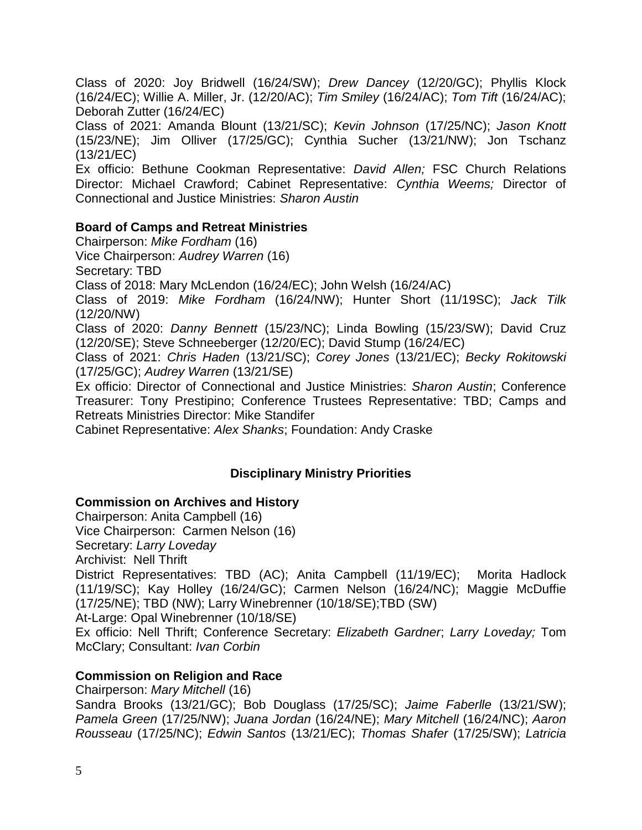Class of 2020: Joy Bridwell (16/24/SW); *Drew Dancey* (12/20/GC); Phyllis Klock (16/24/EC); Willie A. Miller, Jr. (12/20/AC); *Tim Smiley* (16/24/AC); *Tom Tift* (16/24/AC); Deborah Zutter (16/24/EC)

Class of 2021: Amanda Blount (13/21/SC); *Kevin Johnson* (17/25/NC); *Jason Knott* (15/23/NE); Jim Olliver (17/25/GC); Cynthia Sucher (13/21/NW); Jon Tschanz (13/21/EC)

Ex officio: Bethune Cookman Representative: *David Allen;* FSC Church Relations Director: Michael Crawford; Cabinet Representative: *Cynthia Weems;* Director of Connectional and Justice Ministries: *Sharon Austin*

## **Board of Camps and Retreat Ministries**

Chairperson: *Mike Fordham* (16)

Vice Chairperson: *Audrey Warren* (16)

Secretary: TBD

Class of 2018: Mary McLendon (16/24/EC); John Welsh (16/24/AC)

Class of 2019: *Mike Fordham* (16/24/NW); Hunter Short (11/19SC); *Jack Tilk* (12/20/NW)

Class of 2020: *Danny Bennett* (15/23/NC); Linda Bowling (15/23/SW); David Cruz (12/20/SE); Steve Schneeberger (12/20/EC); David Stump (16/24/EC)

Class of 2021: *Chris Haden* (13/21/SC); *Corey Jones* (13/21/EC); *Becky Rokitowski* (17/25/GC); *Audrey Warren* (13/21/SE)

Ex officio: Director of Connectional and Justice Ministries: *Sharon Austin*; Conference Treasurer: Tony Prestipino; Conference Trustees Representative: TBD; Camps and Retreats Ministries Director: Mike Standifer

Cabinet Representative: *Alex Shanks*; Foundation: Andy Craske

# **Disciplinary Ministry Priorities**

# **Commission on Archives and History**

Chairperson: Anita Campbell (16)

Vice Chairperson: Carmen Nelson (16)

Secretary: *Larry Loveday*

Archivist: Nell Thrift

District Representatives: TBD (AC); Anita Campbell (11/19/EC); Morita Hadlock (11/19/SC); Kay Holley (16/24/GC); Carmen Nelson (16/24/NC); Maggie McDuffie (17/25/NE); TBD (NW); Larry Winebrenner (10/18/SE);TBD (SW)

At-Large: Opal Winebrenner (10/18/SE)

Ex officio: Nell Thrift; Conference Secretary: *Elizabeth Gardner*; *Larry Loveday;* Tom McClary; Consultant: *Ivan Corbin*

# **Commission on Religion and Race**

Chairperson: *Mary Mitchell* (16)

Sandra Brooks (13/21/GC); Bob Douglass (17/25/SC); *Jaime Faberlle* (13/21/SW); *Pamela Green* (17/25/NW); *Juana Jordan* (16/24/NE); *Mary Mitchell* (16/24/NC); *Aaron Rousseau* (17/25/NC); *Edwin Santos* (13/21/EC); *Thomas Shafer* (17/25/SW); *Latricia*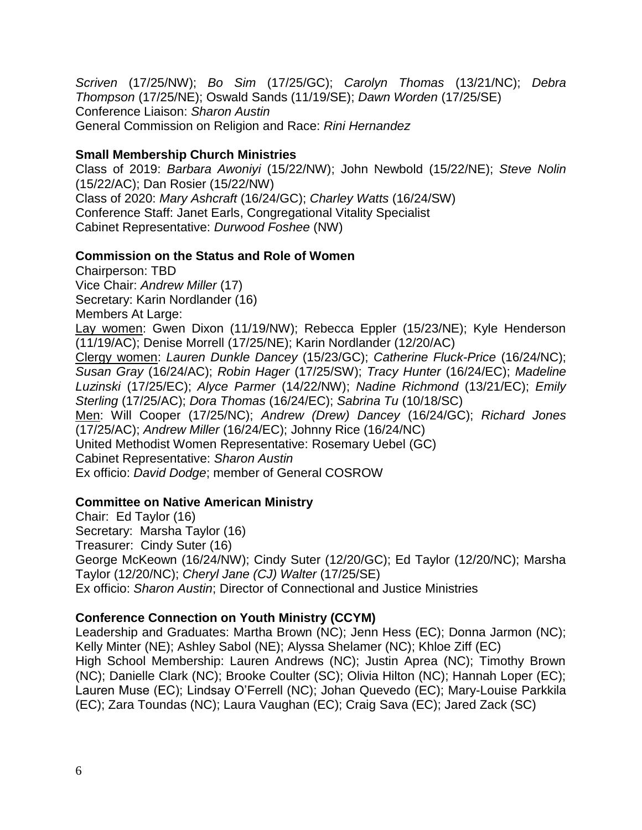*Scriven* (17/25/NW); *Bo Sim* (17/25/GC); *Carolyn Thomas* (13/21/NC); *Debra Thompson* (17/25/NE); Oswald Sands (11/19/SE); *Dawn Worden* (17/25/SE) Conference Liaison: *Sharon Austin* General Commission on Religion and Race: *Rini Hernandez*

## **Small Membership Church Ministries**

Class of 2019: *Barbara Awoniyi* (15/22/NW); John Newbold (15/22/NE); *Steve Nolin*  (15/22/AC); Dan Rosier (15/22/NW) Class of 2020: *Mary Ashcraft* (16/24/GC); *Charley Watts* (16/24/SW) Conference Staff: Janet Earls, Congregational Vitality Specialist Cabinet Representative: *Durwood Foshee* (NW)

## **Commission on the Status and Role of Women**

Chairperson: TBD Vice Chair: *Andrew Miller* (17) Secretary: Karin Nordlander (16) Members At Large: Lay women: Gwen Dixon (11/19/NW); Rebecca Eppler (15/23/NE); Kyle Henderson (11/19/AC); Denise Morrell (17/25/NE); Karin Nordlander (12/20/AC) Clergy women: *Lauren Dunkle Dancey* (15/23/GC); *Catherine Fluck-Price* (16/24/NC); *Susan Gray* (16/24/AC); *Robin Hager* (17/25/SW); *Tracy Hunter* (16/24/EC); *Madeline Luzinski* (17/25/EC); *Alyce Parmer* (14/22/NW); *Nadine Richmond* (13/21/EC); *Emily Sterling* (17/25/AC); *Dora Thomas* (16/24/EC); *Sabrina Tu* (10/18/SC) Men: Will Cooper (17/25/NC); *Andrew (Drew) Dancey* (16/24/GC); *Richard Jones* (17/25/AC); *Andrew Miller* (16/24/EC); Johnny Rice (16/24/NC) United Methodist Women Representative: Rosemary Uebel (GC) Cabinet Representative: *Sharon Austin* Ex officio: *David Dodge*; member of General COSROW

## **Committee on Native American Ministry**

Chair: Ed Taylor (16) Secretary: Marsha Taylor (16) Treasurer: Cindy Suter (16) George McKeown (16/24/NW); Cindy Suter (12/20/GC); Ed Taylor (12/20/NC); Marsha Taylor (12/20/NC); *Cheryl Jane (CJ) Walter* (17/25/SE) Ex officio: *Sharon Austin*; Director of Connectional and Justice Ministries

## **Conference Connection on Youth Ministry (CCYM)**

Leadership and Graduates: Martha Brown (NC); Jenn Hess (EC); Donna Jarmon (NC); Kelly Minter (NE); Ashley Sabol (NE); Alyssa Shelamer (NC); Khloe Ziff (EC) High School Membership: Lauren Andrews (NC); Justin Aprea (NC); Timothy Brown (NC); Danielle Clark (NC); Brooke Coulter (SC); Olivia Hilton (NC); Hannah Loper (EC); Lauren Muse (EC); Lindsay O'Ferrell (NC); Johan Quevedo (EC); Mary-Louise Parkkila (EC); Zara Toundas (NC); Laura Vaughan (EC); Craig Sava (EC); Jared Zack (SC)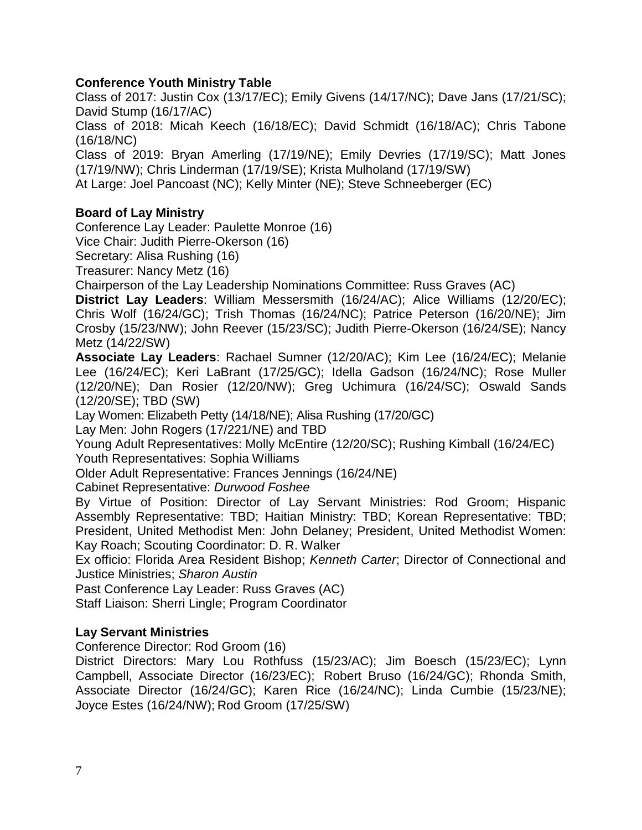# **Conference Youth Ministry Table**

Class of 2017: Justin Cox (13/17/EC); Emily Givens (14/17/NC); Dave Jans (17/21/SC); David Stump (16/17/AC)

Class of 2018: Micah Keech (16/18/EC); David Schmidt (16/18/AC); Chris Tabone (16/18/NC)

Class of 2019: Bryan Amerling (17/19/NE); Emily Devries (17/19/SC); Matt Jones (17/19/NW); Chris Linderman (17/19/SE); Krista Mulholand (17/19/SW)

At Large: Joel Pancoast (NC); Kelly Minter (NE); Steve Schneeberger (EC)

# **Board of Lay Ministry**

Conference Lay Leader: Paulette Monroe (16)

Vice Chair: Judith Pierre-Okerson (16)

Secretary: Alisa Rushing (16)

Treasurer: Nancy Metz (16)

Chairperson of the Lay Leadership Nominations Committee: Russ Graves (AC)

**District Lay Leaders**: William Messersmith (16/24/AC); Alice Williams (12/20/EC); Chris Wolf (16/24/GC); Trish Thomas (16/24/NC); Patrice Peterson (16/20/NE); Jim Crosby (15/23/NW); John Reever (15/23/SC); Judith Pierre-Okerson (16/24/SE); Nancy Metz (14/22/SW)

**Associate Lay Leaders**: Rachael Sumner (12/20/AC); Kim Lee (16/24/EC); Melanie Lee (16/24/EC); Keri LaBrant (17/25/GC); Idella Gadson (16/24/NC); Rose Muller (12/20/NE); Dan Rosier (12/20/NW); Greg Uchimura (16/24/SC); Oswald Sands (12/20/SE); TBD (SW)

Lay Women: Elizabeth Petty (14/18/NE); Alisa Rushing (17/20/GC)

Lay Men: John Rogers (17/221/NE) and TBD

Young Adult Representatives: Molly McEntire (12/20/SC); Rushing Kimball (16/24/EC) Youth Representatives: Sophia Williams

Older Adult Representative: Frances Jennings (16/24/NE)

Cabinet Representative: *Durwood Foshee*

By Virtue of Position: Director of Lay Servant Ministries: Rod Groom; Hispanic Assembly Representative: TBD; Haitian Ministry: TBD; Korean Representative: TBD; President, United Methodist Men: John Delaney; President, United Methodist Women: Kay Roach; Scouting Coordinator: D. R. Walker

Ex officio: Florida Area Resident Bishop; *Kenneth Carter*; Director of Connectional and Justice Ministries; *Sharon Austin*

Past Conference Lay Leader: Russ Graves (AC)

Staff Liaison: Sherri Lingle; Program Coordinator

## **Lay Servant Ministries**

Conference Director: Rod Groom (16)

District Directors: Mary Lou Rothfuss (15/23/AC); Jim Boesch (15/23/EC); Lynn Campbell, Associate Director (16/23/EC); Robert Bruso (16/24/GC); Rhonda Smith, Associate Director (16/24/GC); Karen Rice (16/24/NC); Linda Cumbie (15/23/NE); Joyce Estes (16/24/NW); Rod Groom (17/25/SW)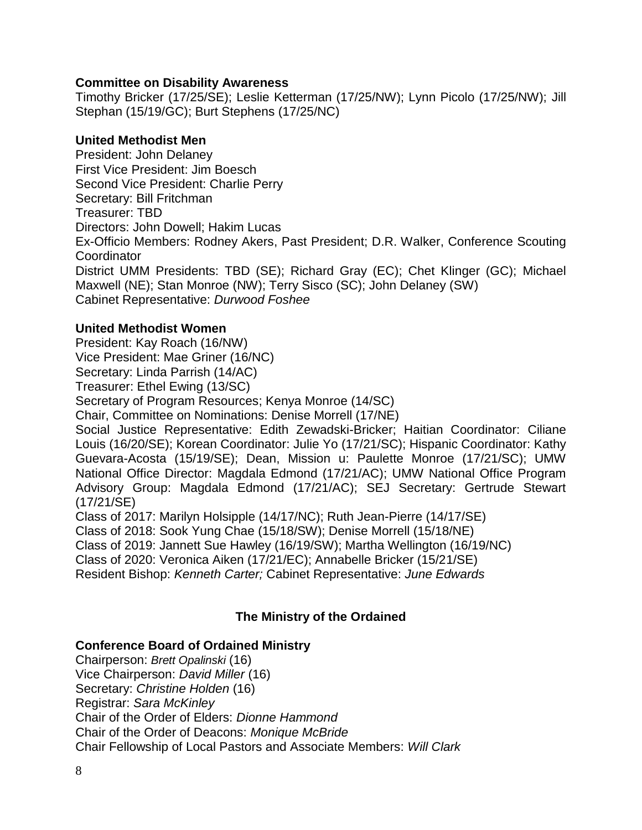## **Committee on Disability Awareness**

Timothy Bricker (17/25/SE); Leslie Ketterman (17/25/NW); Lynn Picolo (17/25/NW); Jill Stephan (15/19/GC); Burt Stephens (17/25/NC)

#### **United Methodist Men**

President: John Delaney First Vice President: Jim Boesch Second Vice President: Charlie Perry Secretary: Bill Fritchman Treasurer: TBD Directors: John Dowell; Hakim Lucas Ex-Officio Members: Rodney Akers, Past President; D.R. Walker, Conference Scouting Coordinator District UMM Presidents: TBD (SE); Richard Gray (EC); Chet Klinger (GC); Michael Maxwell (NE); Stan Monroe (NW); Terry Sisco (SC); John Delaney (SW) Cabinet Representative: *Durwood Foshee*

**United Methodist Women** President: Kay Roach (16/NW) Vice President: Mae Griner (16/NC) Secretary: Linda Parrish (14/AC) Treasurer: Ethel Ewing (13/SC) Secretary of Program Resources; Kenya Monroe (14/SC) Chair, Committee on Nominations: Denise Morrell (17/NE)

Social Justice Representative: Edith Zewadski-Bricker; Haitian Coordinator: Ciliane Louis (16/20/SE); Korean Coordinator: Julie Yo (17/21/SC); Hispanic Coordinator: Kathy Guevara-Acosta (15/19/SE); Dean, Mission u: Paulette Monroe (17/21/SC); UMW National Office Director: Magdala Edmond (17/21/AC); UMW National Office Program Advisory Group: Magdala Edmond (17/21/AC); SEJ Secretary: Gertrude Stewart (17/21/SE)

Class of 2017: Marilyn Holsipple (14/17/NC); Ruth Jean-Pierre (14/17/SE) Class of 2018: Sook Yung Chae (15/18/SW); Denise Morrell (15/18/NE)

Class of 2019: Jannett Sue Hawley (16/19/SW); Martha Wellington (16/19/NC)

Class of 2020: Veronica Aiken (17/21/EC); Annabelle Bricker (15/21/SE)

Resident Bishop: *Kenneth Carter;* Cabinet Representative: *June Edwards*

# **The Ministry of the Ordained**

#### **Conference Board of Ordained Ministry**

Chairperson: *Brett Opalinski* (16) Vice Chairperson: *David Miller* (16) Secretary: *Christine Holden* (16) Registrar: *Sara McKinley* Chair of the Order of Elders: *Dionne Hammond* Chair of the Order of Deacons: *Monique McBride* Chair Fellowship of Local Pastors and Associate Members: *Will Clark*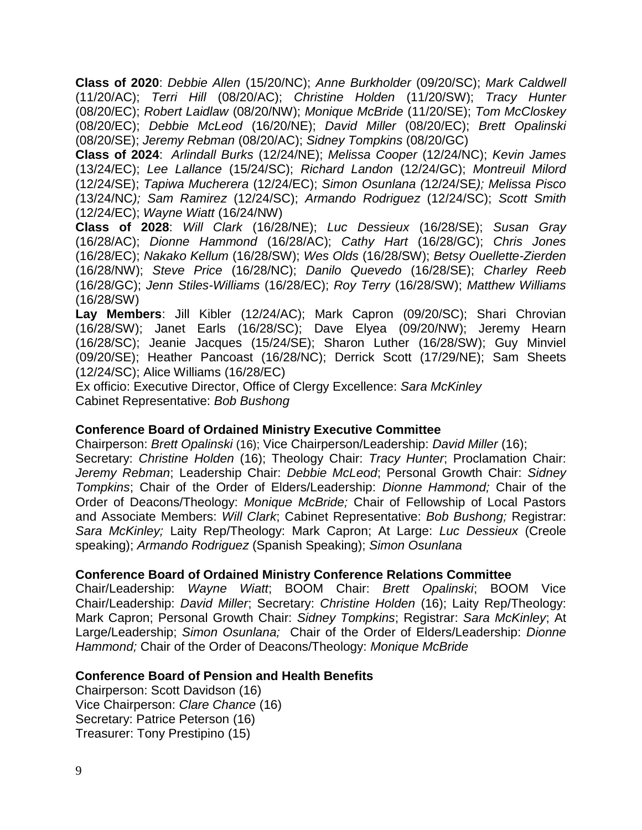**Class of 2020**: *Debbie Allen* (15/20/NC); *Anne Burkholder* (09/20/SC); *Mark Caldwell* (11/20/AC); *Terri Hill* (08/20/AC); *Christine Holden* (11/20/SW); *Tracy Hunter*  (08/20/EC); *Robert Laidlaw* (08/20/NW); *Monique McBride* (11/20/SE); *Tom McCloskey*  (08/20/EC); *Debbie McLeod* (16/20/NE); *David Miller* (08/20/EC); *Brett Opalinski*  (08/20/SE); *Jeremy Rebman* (08/20/AC); *Sidney Tompkins* (08/20/GC)

**Class of 2024**: *Arlindall Burks* (12/24/NE); *Melissa Cooper* (12/24/NC); *Kevin James* (13/24/EC); *Lee Lallance* (15/24/SC); *Richard Landon* (12/24/GC); *Montreuil Milord*  (12/24/SE); *Tapiwa Mucherera* (12/24/EC); *Simon Osunlana (*12/24/SE*); Melissa Pisco (*13/24/NC*); Sam Ramirez* (12/24/SC); *Armando Rodriguez* (12/24/SC); *Scott Smith*  (12/24/EC); *Wayne Wiatt* (16/24/NW)

**Class of 2028**: *Will Clark* (16/28/NE); *Luc Dessieux* (16/28/SE); *Susan Gray* (16/28/AC); *Dionne Hammond* (16/28/AC); *Cathy Hart* (16/28/GC); *Chris Jones*  (16/28/EC); *Nakako Kellum* (16/28/SW); *Wes Olds* (16/28/SW); *Betsy Ouellette-Zierden*  (16/28/NW); *Steve Price* (16/28/NC); *Danilo Quevedo* (16/28/SE); *Charley Reeb* (16/28/GC); *Jenn Stiles-Williams* (16/28/EC); *Roy Terry* (16/28/SW); *Matthew Williams* (16/28/SW)

**Lay Members**: Jill Kibler (12/24/AC); Mark Capron (09/20/SC); Shari Chrovian (16/28/SW); Janet Earls (16/28/SC); Dave Elyea (09/20/NW); Jeremy Hearn (16/28/SC); Jeanie Jacques (15/24/SE); Sharon Luther (16/28/SW); Guy Minviel (09/20/SE); Heather Pancoast (16/28/NC); Derrick Scott (17/29/NE); Sam Sheets (12/24/SC); Alice Williams (16/28/EC)

Ex officio: Executive Director, Office of Clergy Excellence: *Sara McKinley* Cabinet Representative: *Bob Bushong*

#### **Conference Board of Ordained Ministry Executive Committee**

Chairperson: *Brett Opalinski* (16); Vice Chairperson/Leadership: *David Miller* (16); Secretary: *Christine Holden* (16); Theology Chair: *Tracy Hunter*; Proclamation Chair: *Jeremy Rebman*; Leadership Chair: *Debbie McLeod*; Personal Growth Chair: *Sidney Tompkins*; Chair of the Order of Elders/Leadership: *Dionne Hammond;* Chair of the Order of Deacons/Theology: *Monique McBride;* Chair of Fellowship of Local Pastors and Associate Members: *Will Clark*; Cabinet Representative: *Bob Bushong;* Registrar: *Sara McKinley;* Laity Rep/Theology: Mark Capron; At Large: *Luc Dessieux* (Creole speaking); *Armando Rodriguez* (Spanish Speaking); *Simon Osunlana*

#### **Conference Board of Ordained Ministry Conference Relations Committee**

Chair/Leadership: *Wayne Wiatt*; BOOM Chair: *Brett Opalinski*; BOOM Vice Chair/Leadership: *David Miller*; Secretary: *Christine Holden* (16); Laity Rep/Theology: Mark Capron; Personal Growth Chair: *Sidney Tompkins*; Registrar: *Sara McKinley*; At Large/Leadership; *Simon Osunlana;* Chair of the Order of Elders/Leadership: *Dionne Hammond;* Chair of the Order of Deacons/Theology: *Monique McBride*

#### **Conference Board of Pension and Health Benefits**

Chairperson: Scott Davidson (16) Vice Chairperson: *Clare Chance* (16) Secretary: Patrice Peterson (16) Treasurer: Tony Prestipino (15)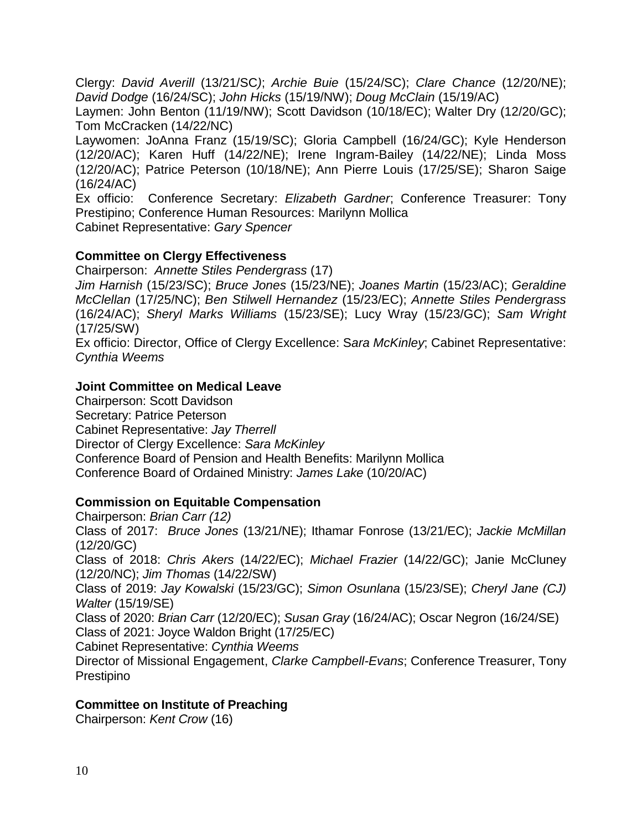Clergy: *David Averill* (13/21/SC*)*; *Archie Buie* (15/24/SC); *Clare Chance* (12/20/NE); *David Dodge* (16/24/SC); *John Hicks* (15/19/NW); *Doug McClain* (15/19/AC)

Laymen: John Benton (11/19/NW); Scott Davidson (10/18/EC); Walter Dry (12/20/GC); Tom McCracken (14/22/NC)

Laywomen: JoAnna Franz (15/19/SC); Gloria Campbell (16/24/GC); Kyle Henderson (12/20/AC); Karen Huff (14/22/NE); Irene Ingram-Bailey (14/22/NE); Linda Moss (12/20/AC); Patrice Peterson (10/18/NE); Ann Pierre Louis (17/25/SE); Sharon Saige (16/24/AC)

Ex officio: Conference Secretary: *Elizabeth Gardner*; Conference Treasurer: Tony Prestipino; Conference Human Resources: Marilynn Mollica Cabinet Representative: *Gary Spencer*

## **Committee on Clergy Effectiveness**

Chairperson: *Annette Stiles Pendergrass* (17)

*Jim Harnish* (15/23/SC); *Bruce Jones* (15/23/NE); *Joanes Martin* (15/23/AC); *Geraldine McClellan* (17/25/NC); *Ben Stilwell Hernandez* (15/23/EC); *Annette Stiles Pendergrass* (16/24/AC); *Sheryl Marks Williams* (15/23/SE); Lucy Wray (15/23/GC); *Sam Wright*  (17/25/SW)

Ex officio: Director, Office of Clergy Excellence: S*ara McKinley*; Cabinet Representative: *Cynthia Weems*

#### **Joint Committee on Medical Leave**

Chairperson: Scott Davidson Secretary: Patrice Peterson Cabinet Representative: *Jay Therrell* Director of Clergy Excellence: *Sara McKinley* Conference Board of Pension and Health Benefits: Marilynn Mollica Conference Board of Ordained Ministry: *James Lake* (10/20/AC)

#### **Commission on Equitable Compensation**

Chairperson: *Brian Carr (12)* Class of 2017: *Bruce Jones* (13/21/NE); Ithamar Fonrose (13/21/EC); *Jackie McMillan* (12/20/GC) Class of 2018: *Chris Akers* (14/22/EC); *Michael Frazier* (14/22/GC); Janie McCluney (12/20/NC); *Jim Thomas* (14/22/SW) Class of 2019: *Jay Kowalski* (15/23/GC); *Simon Osunlana* (15/23/SE); *Cheryl Jane (CJ) Walter* (15/19/SE) Class of 2020: *Brian Carr* (12/20/EC); *Susan Gray* (16/24/AC); Oscar Negron (16/24/SE) Class of 2021: Joyce Waldon Bright (17/25/EC) Cabinet Representative: *Cynthia Weems* Director of Missional Engagement, *Clarke Campbell-Evans*; Conference Treasurer, Tony Prestipino

#### **Committee on Institute of Preaching**

Chairperson: *Kent Crow* (16)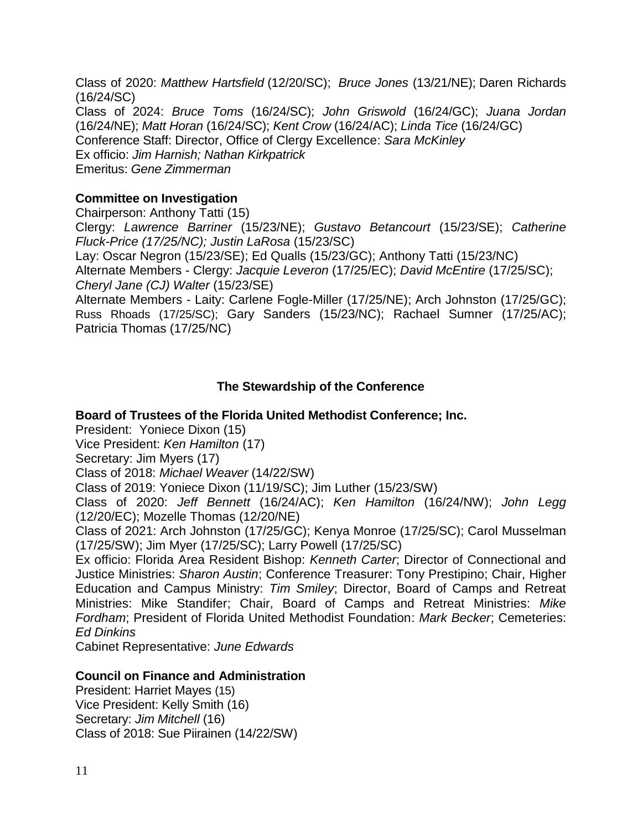Class of 2020: *Matthew Hartsfield* (12/20/SC); *Bruce Jones* (13/21/NE); Daren Richards (16/24/SC) Class of 2024: *Bruce Toms* (16/24/SC); *John Griswold* (16/24/GC); *Juana Jordan* (16/24/NE); *Matt Horan* (16/24/SC); *Kent Crow* (16/24/AC); *Linda Tice* (16/24/GC) Conference Staff: Director, Office of Clergy Excellence: *Sara McKinley* Ex officio: *Jim Harnish; Nathan Kirkpatrick* Emeritus: *Gene Zimmerman*

## **Committee on Investigation**

Chairperson: Anthony Tatti (15)

Clergy: *Lawrence Barriner* (15/23/NE); *Gustavo Betancourt* (15/23/SE); *Catherine Fluck-Price (17/25/NC); Justin LaRosa* (15/23/SC)

Lay: Oscar Negron (15/23/SE); Ed Qualls (15/23/GC); Anthony Tatti (15/23/NC) Alternate Members - Clergy: *Jacquie Leveron* (17/25/EC); *David McEntire* (17/25/SC); *Cheryl Jane (CJ) Walter* (15/23/SE)

Alternate Members - Laity: Carlene Fogle-Miller (17/25/NE); Arch Johnston (17/25/GC); Russ Rhoads (17/25/SC); Gary Sanders (15/23/NC); Rachael Sumner (17/25/AC); Patricia Thomas (17/25/NC)

## **The Stewardship of the Conference**

#### **Board of Trustees of the Florida United Methodist Conference; Inc.**

President: Yoniece Dixon (15)

Vice President: *Ken Hamilton* (17)

Secretary: Jim Myers (17)

Class of 2018: *Michael Weaver* (14/22/SW)

Class of 2019: Yoniece Dixon (11/19/SC); Jim Luther (15/23/SW)

Class of 2020: *Jeff Bennett* (16/24/AC); *Ken Hamilton* (16/24/NW); *John Legg* (12/20/EC); Mozelle Thomas (12/20/NE)

Class of 2021: Arch Johnston (17/25/GC); Kenya Monroe (17/25/SC); Carol Musselman (17/25/SW); Jim Myer (17/25/SC); Larry Powell (17/25/SC)

Ex officio: Florida Area Resident Bishop: *Kenneth Carter*; Director of Connectional and Justice Ministries: *Sharon Austin*; Conference Treasurer: Tony Prestipino; Chair, Higher Education and Campus Ministry: *Tim Smiley*; Director, Board of Camps and Retreat Ministries: Mike Standifer; Chair, Board of Camps and Retreat Ministries: *Mike Fordham*; President of Florida United Methodist Foundation: *Mark Becker*; Cemeteries: *Ed Dinkins*

Cabinet Representative: *June Edwards*

#### **Council on Finance and Administration**

President: Harriet Mayes (15) Vice President: Kelly Smith (16) Secretary: *Jim Mitchell* (16) Class of 2018: Sue Piirainen (14/22/SW)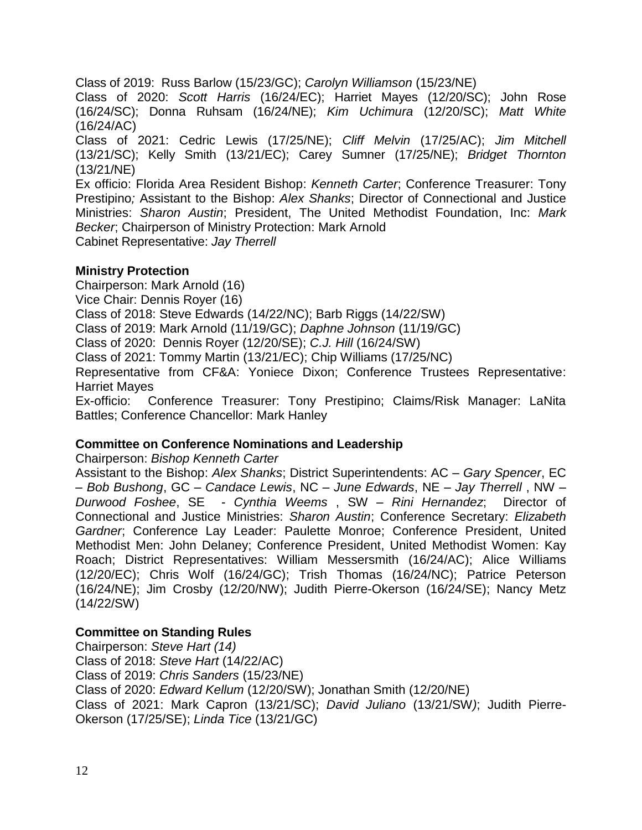Class of 2019: Russ Barlow (15/23/GC); *Carolyn Williamson* (15/23/NE)

Class of 2020: *Scott Harris* (16/24/EC); Harriet Mayes (12/20/SC); John Rose (16/24/SC); Donna Ruhsam (16/24/NE); *Kim Uchimura* (12/20/SC); *Matt White* (16/24/AC)

Class of 2021: Cedric Lewis (17/25/NE); *Cliff Melvin* (17/25/AC); *Jim Mitchell* (13/21/SC); Kelly Smith (13/21/EC); Carey Sumner (17/25/NE); *Bridget Thornton* (13/21/NE)

Ex officio: Florida Area Resident Bishop: *Kenneth Carter*; Conference Treasurer: Tony Prestipino*;* Assistant to the Bishop: *Alex Shanks*; Director of Connectional and Justice Ministries: *Sharon Austin*; President, The United Methodist Foundation, Inc: *Mark Becker*; Chairperson of Ministry Protection: Mark Arnold Cabinet Representative: *Jay Therrell*

## **Ministry Protection**

Chairperson: Mark Arnold (16) Vice Chair: Dennis Royer (16) Class of 2018: Steve Edwards (14/22/NC); Barb Riggs (14/22/SW) Class of 2019: Mark Arnold (11/19/GC); *Daphne Johnson* (11/19/GC) Class of 2020: Dennis Royer (12/20/SE); *C.J. Hill* (16/24/SW) Class of 2021: Tommy Martin (13/21/EC); Chip Williams (17/25/NC) Representative from CF&A: Yoniece Dixon; Conference Trustees Representative: Harriet Mayes Ex-officio: Conference Treasurer: Tony Prestipino; Claims/Risk Manager: LaNita Battles; Conference Chancellor: Mark Hanley

## **Committee on Conference Nominations and Leadership**

Chairperson: *Bishop Kenneth Carter*

Assistant to the Bishop: *Alex Shanks*; District Superintendents: AC – *Gary Spencer*, EC – *Bob Bushong*, GC – *Candace Lewis*, NC – *June Edwards*, NE – *Jay Therrell* , NW – *Durwood Foshee*, SE - *Cynthia Weems* , SW – *Rini Hernandez*; Director of Connectional and Justice Ministries: *Sharon Austin*; Conference Secretary: *Elizabeth Gardner*; Conference Lay Leader: Paulette Monroe; Conference President, United Methodist Men: John Delaney; Conference President, United Methodist Women: Kay Roach; District Representatives: William Messersmith (16/24/AC); Alice Williams (12/20/EC); Chris Wolf (16/24/GC); Trish Thomas (16/24/NC); Patrice Peterson (16/24/NE); Jim Crosby (12/20/NW); Judith Pierre-Okerson (16/24/SE); Nancy Metz (14/22/SW)

## **Committee on Standing Rules**

Chairperson: *Steve Hart (14)* Class of 2018: *Steve Hart* (14/22/AC) Class of 2019: *Chris Sanders* (15/23/NE) Class of 2020: *Edward Kellum* (12/20/SW); Jonathan Smith (12/20/NE) Class of 2021: Mark Capron (13/21/SC); *David Juliano* (13/21/SW*)*; Judith Pierre-Okerson (17/25/SE); *Linda Tice* (13/21/GC)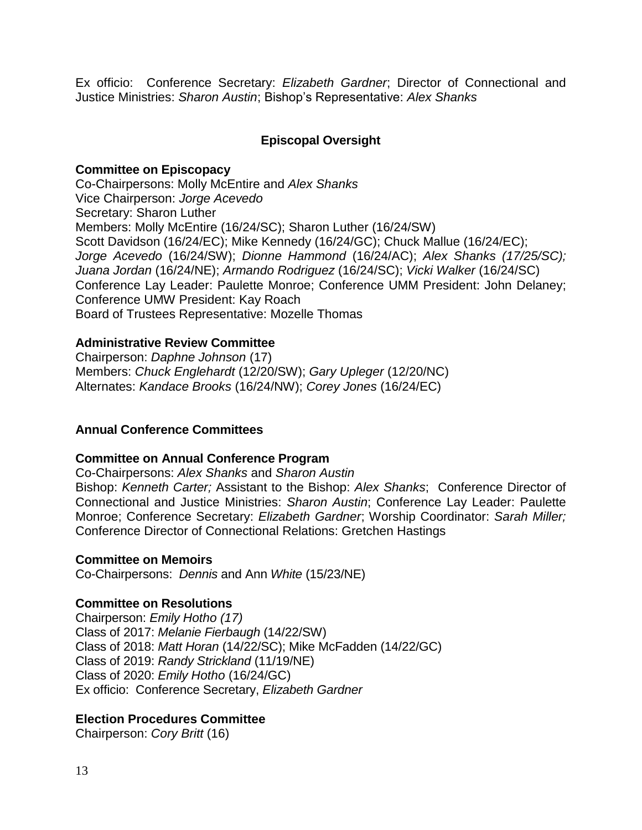Ex officio: Conference Secretary: *Elizabeth Gardner*; Director of Connectional and Justice Ministries: *Sharon Austin*; Bishop's Representative: *Alex Shanks*

## **Episcopal Oversight**

#### **Committee on Episcopacy**

Co-Chairpersons: Molly McEntire and *Alex Shanks* Vice Chairperson: *Jorge Acevedo* Secretary: Sharon Luther Members: Molly McEntire (16/24/SC); Sharon Luther (16/24/SW) Scott Davidson (16/24/EC); Mike Kennedy (16/24/GC); Chuck Mallue (16/24/EC); *Jorge Acevedo* (16/24/SW); *Dionne Hammond* (16/24/AC); *Alex Shanks (17/25/SC); Juana Jordan* (16/24/NE); *Armando Rodriguez* (16/24/SC); *Vicki Walker* (16/24/SC) Conference Lay Leader: Paulette Monroe; Conference UMM President: John Delaney; Conference UMW President: Kay Roach Board of Trustees Representative: Mozelle Thomas

#### **Administrative Review Committee**

Chairperson: *Daphne Johnson* (17) Members: *Chuck Englehardt* (12/20/SW); *Gary Upleger* (12/20/NC) Alternates: *Kandace Brooks* (16/24/NW); *Corey Jones* (16/24/EC)

#### **Annual Conference Committees**

#### **Committee on Annual Conference Program**

Co-Chairpersons: *Alex Shanks* and *Sharon Austin*

Bishop: *Kenneth Carter;* Assistant to the Bishop: *Alex Shanks*; Conference Director of Connectional and Justice Ministries: *Sharon Austin*; Conference Lay Leader: Paulette Monroe; Conference Secretary: *Elizabeth Gardner*; Worship Coordinator: *Sarah Miller;*  Conference Director of Connectional Relations: Gretchen Hastings

#### **Committee on Memoirs**

Co-Chairpersons: *Dennis* and Ann *White* (15/23/NE)

#### **Committee on Resolutions**

Chairperson: *Emily Hotho (17)* Class of 2017: *Melanie Fierbaugh* (14/22/SW) Class of 2018: *Matt Horan* (14/22/SC); Mike McFadden (14/22/GC) Class of 2019: *Randy Strickland* (11/19/NE) Class of 2020: *Emily Hotho* (16/24/GC) Ex officio: Conference Secretary, *Elizabeth Gardner*

#### **Election Procedures Committee**

Chairperson: *Cory Britt* (16)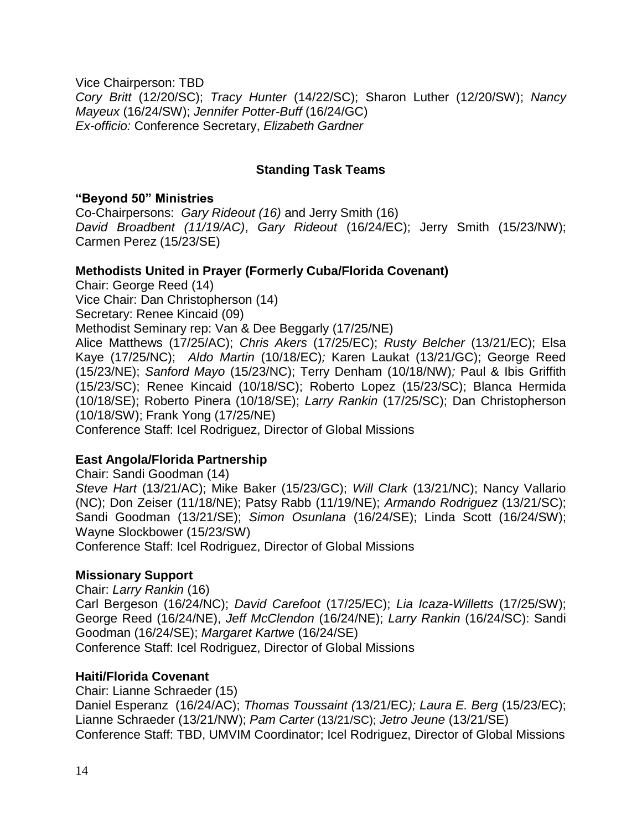Vice Chairperson: TBD *Cory Britt* (12/20/SC); *Tracy Hunter* (14/22/SC); Sharon Luther (12/20/SW); *Nancy Mayeux* (16/24/SW); *Jennifer Potter-Buff* (16/24/GC) *Ex-officio:* Conference Secretary, *Elizabeth Gardner*

## **Standing Task Teams**

#### **"Beyond 50" Ministries**

Co-Chairpersons: *Gary Rideout (16)* and Jerry Smith (16) *David Broadbent (11/19/AC)*, *Gary Rideout* (16/24/EC); Jerry Smith (15/23/NW); Carmen Perez (15/23/SE)

#### **Methodists United in Prayer (Formerly Cuba/Florida Covenant)**

Chair: George Reed (14) Vice Chair: Dan Christopherson (14) Secretary: Renee Kincaid (09) Methodist Seminary rep: Van & Dee Beggarly (17/25/NE) Alice Matthews (17/25/AC); *Chris Akers* (17/25/EC); *Rusty Belcher* (13/21/EC); Elsa Kaye (17/25/NC); *Aldo Martin* (10/18/EC)*;* Karen Laukat (13/21/GC); George Reed (15/23/NE); *Sanford Mayo* (15/23/NC); Terry Denham (10/18/NW)*;* Paul & Ibis Griffith (15/23/SC); Renee Kincaid (10/18/SC); Roberto Lopez (15/23/SC); Blanca Hermida (10/18/SE); Roberto Pinera (10/18/SE); *Larry Rankin* (17/25/SC); Dan Christopherson (10/18/SW); Frank Yong (17/25/NE)

Conference Staff: Icel Rodriguez, Director of Global Missions

#### **East Angola/Florida Partnership**

Chair: Sandi Goodman (14) *Steve Hart* (13/21/AC); Mike Baker (15/23/GC); *Will Clark* (13/21/NC); Nancy Vallario (NC); Don Zeiser (11/18/NE); Patsy Rabb (11/19/NE); *Armando Rodriguez* (13/21/SC); Sandi Goodman (13/21/SE); *Simon Osunlana* (16/24/SE); Linda Scott (16/24/SW); Wayne Slockbower (15/23/SW)

Conference Staff: Icel Rodriguez, Director of Global Missions

#### **Missionary Support**

Chair: *Larry Rankin* (16)

Carl Bergeson (16/24/NC); *David Carefoot* (17/25/EC); *Lia Icaza-Willetts* (17/25/SW); George Reed (16/24/NE), *Jeff McClendon* (16/24/NE); *Larry Rankin* (16/24/SC): Sandi Goodman (16/24/SE); *Margaret Kartwe* (16/24/SE) Conference Staff: Icel Rodriguez, Director of Global Missions

**Haiti/Florida Covenant** 

Chair: Lianne Schraeder (15) Daniel Esperanz (16/24/AC); *Thomas Toussaint (*13/21/EC*); Laura E. Berg* (15/23/EC); Lianne Schraeder (13/21/NW); *Pam Carter* (13/21/SC); *Jetro Jeune* (13/21/SE) Conference Staff: TBD, UMVIM Coordinator; Icel Rodriguez, Director of Global Missions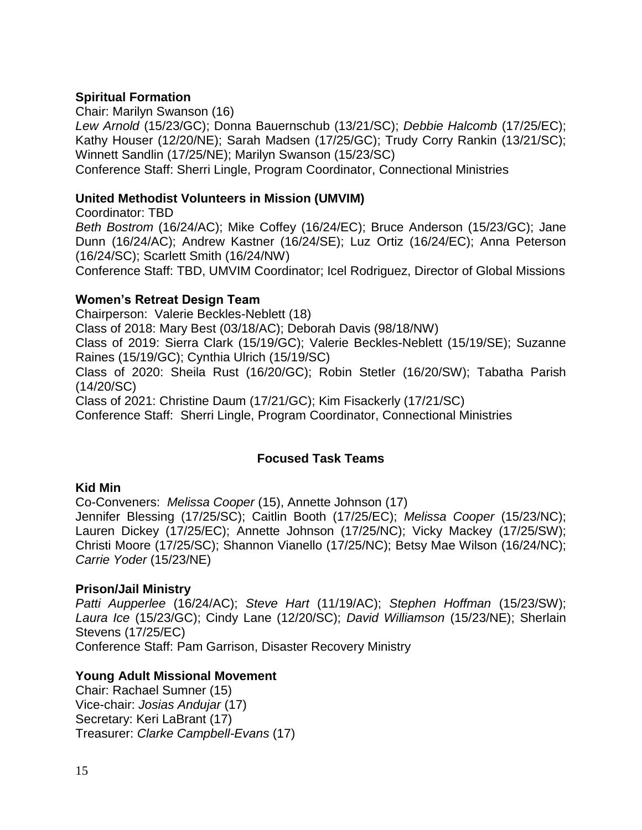## **Spiritual Formation**

Chair: Marilyn Swanson (16)

*Lew Arnold* (15/23/GC); Donna Bauernschub (13/21/SC); *Debbie Halcomb* (17/25/EC); Kathy Houser (12/20/NE); Sarah Madsen (17/25/GC); Trudy Corry Rankin (13/21/SC); Winnett Sandlin (17/25/NE); Marilyn Swanson (15/23/SC)

Conference Staff: Sherri Lingle, Program Coordinator, Connectional Ministries

#### **United Methodist Volunteers in Mission (UMVIM)**

Coordinator: TBD *Beth Bostrom* (16/24/AC); Mike Coffey (16/24/EC); Bruce Anderson (15/23/GC); Jane Dunn (16/24/AC); Andrew Kastner (16/24/SE); Luz Ortiz (16/24/EC); Anna Peterson (16/24/SC); Scarlett Smith (16/24/NW)

Conference Staff: TBD, UMVIM Coordinator; Icel Rodriguez, Director of Global Missions

#### **Women's Retreat Design Team**

Chairperson: Valerie Beckles-Neblett (18) Class of 2018: Mary Best (03/18/AC); Deborah Davis (98/18/NW) Class of 2019: Sierra Clark (15/19/GC); Valerie Beckles-Neblett (15/19/SE); Suzanne Raines (15/19/GC); Cynthia Ulrich (15/19/SC) Class of 2020: Sheila Rust (16/20/GC); Robin Stetler (16/20/SW); Tabatha Parish (14/20/SC)

Class of 2021: Christine Daum (17/21/GC); Kim Fisackerly (17/21/SC)

Conference Staff: Sherri Lingle, Program Coordinator, Connectional Ministries

## **Focused Task Teams**

#### **Kid Min**

Co-Conveners: *Melissa Cooper* (15), Annette Johnson (17)

Jennifer Blessing (17/25/SC); Caitlin Booth (17/25/EC); *Melissa Cooper* (15/23/NC); Lauren Dickey (17/25/EC); Annette Johnson (17/25/NC); Vicky Mackey (17/25/SW); Christi Moore (17/25/SC); Shannon Vianello (17/25/NC); Betsy Mae Wilson (16/24/NC); *Carrie Yoder* (15/23/NE)

#### **Prison/Jail Ministry**

*Patti Aupperlee* (16/24/AC); *Steve Hart* (11/19/AC); *Stephen Hoffman* (15/23/SW); *Laura Ice* (15/23/GC); Cindy Lane (12/20/SC); *David Williamson* (15/23/NE); Sherlain Stevens (17/25/EC) Conference Staff: Pam Garrison, Disaster Recovery Ministry

#### **Young Adult Missional Movement**

Chair: Rachael Sumner (15) Vice-chair: *Josias Andujar* (17) Secretary: Keri LaBrant (17) Treasurer: *Clarke Campbell-Evans* (17)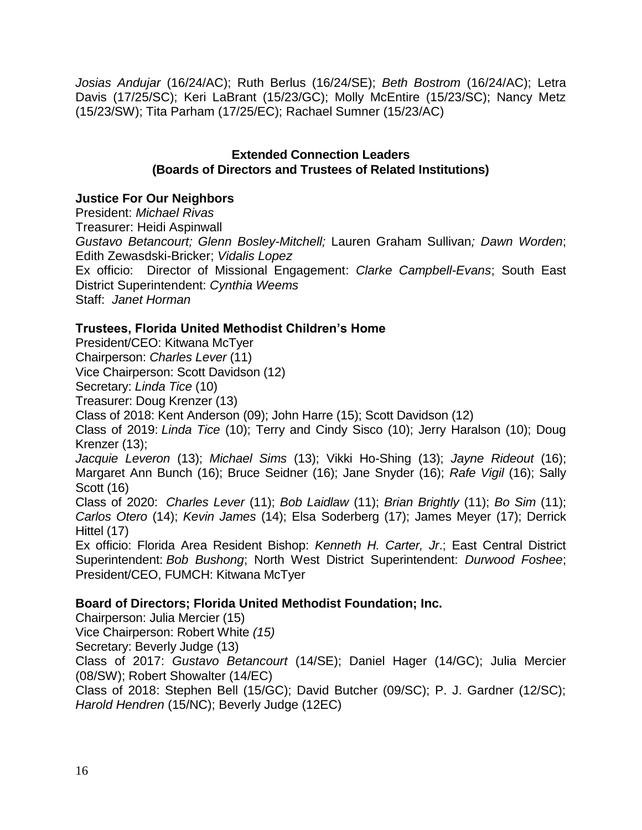*Josias Andujar* (16/24/AC); Ruth Berlus (16/24/SE); *Beth Bostrom* (16/24/AC); Letra Davis (17/25/SC); Keri LaBrant (15/23/GC); Molly McEntire (15/23/SC); Nancy Metz (15/23/SW); Tita Parham (17/25/EC); Rachael Sumner (15/23/AC)

#### **Extended Connection Leaders (Boards of Directors and Trustees of Related Institutions)**

## **Justice For Our Neighbors**

President: *Michael Rivas* Treasurer: Heidi Aspinwall *Gustavo Betancourt; Glenn Bosley-Mitchell;* Lauren Graham Sullivan*; Dawn Worden*; Edith Zewasdski-Bricker; *Vidalis Lopez* Ex officio: Director of Missional Engagement: *Clarke Campbell-Evans*; South East District Superintendent: *Cynthia Weems* Staff: *Janet Horman*

## **Trustees, Florida United Methodist Children's Home**

President/CEO: Kitwana McTyer

Chairperson: *Charles Lever* (11)

Vice Chairperson: Scott Davidson (12)

Secretary: *Linda Tice* (10)

Treasurer: Doug Krenzer (13)

Class of 2018: Kent Anderson (09); John Harre (15); Scott Davidson (12)

Class of 2019: *Linda Tice* (10); Terry and Cindy Sisco (10); Jerry Haralson (10); Doug Krenzer (13);

*Jacquie Leveron* (13); *Michael Sims* (13); Vikki Ho-Shing (13); *Jayne Rideout* (16); Margaret Ann Bunch (16); Bruce Seidner (16); Jane Snyder (16); *Rafe Vigil* (16); Sally Scott (16)

Class of 2020: *Charles Lever* (11); *Bob Laidlaw* (11); *Brian Brightly* (11); *Bo Sim* (11); *Carlos Otero* (14); *Kevin James* (14); Elsa Soderberg (17); James Meyer (17); Derrick Hittel (17)

Ex officio: Florida Area Resident Bishop: *Kenneth H. Carter, Jr*.; East Central District Superintendent: *Bob Bushong*; North West District Superintendent: *Durwood Foshee*; President/CEO, FUMCH: Kitwana McTyer

## **Board of Directors; Florida United Methodist Foundation; Inc.**

Chairperson: Julia Mercier (15)

Vice Chairperson: Robert White *(15)* 

Secretary: Beverly Judge (13)

Class of 2017: *Gustavo Betancourt* (14/SE); Daniel Hager (14/GC); Julia Mercier (08/SW); Robert Showalter (14/EC)

Class of 2018: Stephen Bell (15/GC); David Butcher (09/SC); P. J. Gardner (12/SC); *Harold Hendren* (15/NC); Beverly Judge (12EC)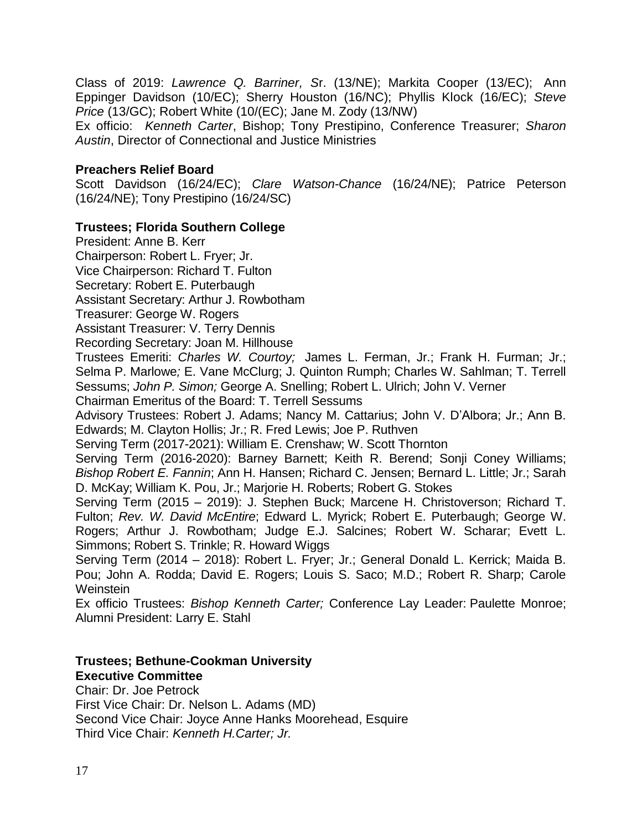Class of 2019: *Lawrence Q. Barriner, S*r. (13/NE); Markita Cooper (13/EC); Ann Eppinger Davidson (10/EC); Sherry Houston (16/NC); Phyllis Klock (16/EC); *Steve Price* (13/GC); Robert White (10/(EC); Jane M. Zody (13/NW)

Ex officio: *Kenneth Carter*, Bishop; Tony Prestipino, Conference Treasurer; *Sharon Austin*, Director of Connectional and Justice Ministries

#### **Preachers Relief Board**

Scott Davidson (16/24/EC); *Clare Watson-Chance* (16/24/NE); Patrice Peterson (16/24/NE); Tony Prestipino (16/24/SC)

## **Trustees; Florida Southern College**

President: Anne B. Kerr Chairperson: Robert L. Fryer; Jr.

Vice Chairperson: Richard T. Fulton

Secretary: Robert E. Puterbaugh

Assistant Secretary: Arthur J. Rowbotham

Treasurer: George W. Rogers

Assistant Treasurer: V. Terry Dennis

Recording Secretary: Joan M. Hillhouse

Trustees Emeriti: *Charles W. Courtoy;* James L. Ferman, Jr.; Frank H. Furman; Jr.; Selma P. Marlowe*;* E. Vane McClurg; J. Quinton Rumph; Charles W. Sahlman; T. Terrell Sessums; *John P. Simon;* George A. Snelling; Robert L. Ulrich; John V. Verner

Chairman Emeritus of the Board: T. Terrell Sessums

Advisory Trustees: Robert J. Adams; Nancy M. Cattarius; John V. D'Albora; Jr.; Ann B. Edwards; M. Clayton Hollis; Jr.; R. Fred Lewis; Joe P. Ruthven

Serving Term (2017-2021): William E. Crenshaw; W. Scott Thornton

Serving Term (2016-2020): Barney Barnett; Keith R. Berend; Sonji Coney Williams; *Bishop Robert E. Fannin*; Ann H. Hansen; Richard C. Jensen; Bernard L. Little; Jr.; Sarah D. McKay; William K. Pou, Jr.; Marjorie H. Roberts; Robert G. Stokes

Serving Term (2015 – 2019): J. Stephen Buck; Marcene H. Christoverson; Richard T. Fulton; *Rev. W. David McEntire*; Edward L. Myrick; Robert E. Puterbaugh; George W. Rogers; Arthur J. Rowbotham; Judge E.J. Salcines; Robert W. Scharar; Evett L. Simmons; Robert S. Trinkle; R. Howard Wiggs

Serving Term (2014 – 2018): Robert L. Fryer; Jr.; General Donald L. Kerrick; Maida B. Pou; John A. Rodda; David E. Rogers; Louis S. Saco; M.D.; Robert R. Sharp; Carole **Weinstein** 

Ex officio Trustees: *Bishop Kenneth Carter;* Conference Lay Leader: Paulette Monroe; Alumni President: Larry E. Stahl

## **Trustees; Bethune-Cookman University Executive Committee**

Chair: Dr. Joe Petrock First Vice Chair: Dr. Nelson L. Adams (MD) Second Vice Chair: Joyce Anne Hanks Moorehead, Esquire Third Vice Chair: *Kenneth H.Carter; Jr.*